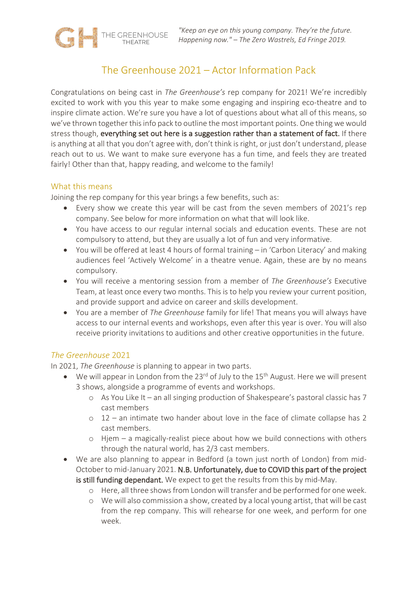# The Greenhouse 2021 – Actor Information Pack

Congratulations on being cast in *The Greenhouse's* rep company for 2021! We're incredibly excited to work with you this year to make some engaging and inspiring eco-theatre and to inspire climate action. We're sure you have a lot of questions about what all of this means, so we've thrown together this info pack to outline the most important points. One thing we would stress though, everything set out here is a suggestion rather than a statement of fact. If there is anything at all that you don't agree with, don't think is right, or just don't understand, please reach out to us. We want to make sure everyone has a fun time, and feels they are treated fairly! Other than that, happy reading, and welcome to the family!

#### What this means

Joining the rep company for this year brings a few benefits, such as:

THE GREENHOUSE

- Every show we create this year will be cast from the seven members of 2021's rep company. See below for more information on what that will look like.
- You have access to our regular internal socials and education events. These are not compulsory to attend, but they are usually a lot of fun and very informative.
- You will be offered at least 4 hours of formal training in 'Carbon Literacy' and making audiences feel 'Actively Welcome' in a theatre venue. Again, these are by no means compulsory.
- You will receive a mentoring session from a member of *The Greenhouse's* Executive Team, at least once every two months. This is to help you review your current position, and provide support and advice on career and skills development.
- You are a member of *The Greenhouse* family for life! That means you will always have access to our internal events and workshops, even after this year is over. You will also receive priority invitations to auditions and other creative opportunities in the future.

# *The Greenhouse* 2021

In 2021, *The Greenhouse* is planning to appear in two parts.

- We will appear in London from the 23<sup>rd</sup> of July to the 15<sup>th</sup> August. Here we will present 3 shows, alongside a programme of events and workshops.
	- o As You Like It an all singing production of Shakespeare's pastoral classic has 7 cast members
	- o 12 an intimate two hander about love in the face of climate collapse has 2 cast members.
	- o Hjem a magically-realist piece about how we build connections with others through the natural world, has 2/3 cast members.
- We are also planning to appear in Bedford (a town just north of London) from mid-October to mid-January 2021. N.B. Unfortunately, due to COVID this part of the project is still funding dependant. We expect to get the results from this by mid-May.
	- o Here, all three shows from London will transfer and be performed for one week.
	- o We will also commission a show, created by a local young artist, that will be cast from the rep company. This will rehearse for one week, and perform for one week.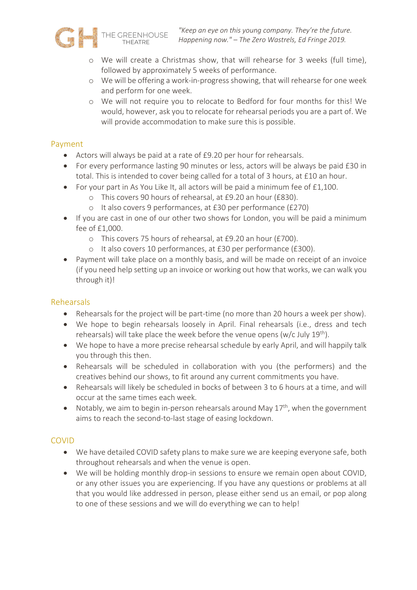

- o We will create a Christmas show, that will rehearse for 3 weeks (full time), followed by approximately 5 weeks of performance.
- o We will be offering a work-in-progress showing, that will rehearse for one week and perform for one week.
- o We will not require you to relocate to Bedford for four months for this! We would, however, ask you to relocate for rehearsal periods you are a part of. We will provide accommodation to make sure this is possible.

# Payment

- Actors will always be paid at a rate of £9.20 per hour for rehearsals.
- For every performance lasting 90 minutes or less, actors will be always be paid £30 in total. This is intended to cover being called for a total of 3 hours, at £10 an hour.
- For your part in As You Like It, all actors will be paid a minimum fee of £1,100.
	- o This covers 90 hours of rehearsal, at £9.20 an hour (£830).
	- o It also covers 9 performances, at £30 per performance (£270)
- If you are cast in one of our other two shows for London, you will be paid a minimum fee of £1,000.
	- o This covers 75 hours of rehearsal, at £9.20 an hour (£700).
	- o It also covers 10 performances, at £30 per performance (£300).
- Payment will take place on a monthly basis, and will be made on receipt of an invoice (if you need help setting up an invoice or working out how that works, we can walk you through it)!

#### Rehearsals

- Rehearsals for the project will be part-time (no more than 20 hours a week per show).
- We hope to begin rehearsals loosely in April. Final rehearsals (i.e., dress and tech rehearsals) will take place the week before the venue opens (w/c July  $19^{th}$ ).
- We hope to have a more precise rehearsal schedule by early April, and will happily talk you through this then.
- Rehearsals will be scheduled in collaboration with you (the performers) and the creatives behind our shows, to fit around any current commitments you have.
- Rehearsals will likely be scheduled in bocks of between 3 to 6 hours at a time, and will occur at the same times each week.
- Notably, we aim to begin in-person rehearsals around May  $17<sup>th</sup>$ , when the government aims to reach the second-to-last stage of easing lockdown.

# COVID

- We have detailed COVID safety plans to make sure we are keeping everyone safe, both throughout rehearsals and when the venue is open.
- We will be holding monthly drop-in sessions to ensure we remain open about COVID, or any other issues you are experiencing. If you have any questions or problems at all that you would like addressed in person, please either send us an email, or pop along to one of these sessions and we will do everything we can to help!